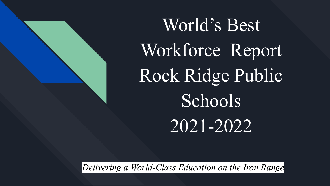World's Best Workforce Report Rock Ridge Public **Schools** 2021-2022

*Delivering a World-Class Education on the Iron Range*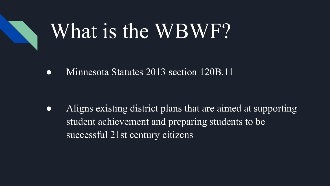# What is the WBWF?

• Minnesota Statutes 2013 section 120B.11

● Aligns existing district plans that are aimed at supporting student achievement and preparing students to be successful 21st century citizens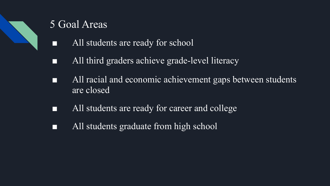

### 5 Goal Areas

- All students are ready for school
- All third graders achieve grade-level literacy
- All racial and economic achievement gaps between students are closed
- All students are ready for career and college
- All students graduate from high school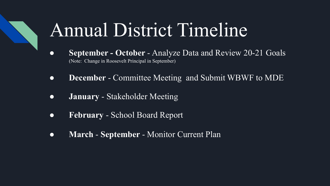## Annual District Timeline

- **September October**  Analyze Data and Review 20-21 Goals (Note: Change in Roosevelt Principal in September)
- **December**  Committee Meeting and Submit WBWF to MDE
- **January**  Stakeholder Meeting
- **February** School Board Report
- **March** - **September**  Monitor Current Plan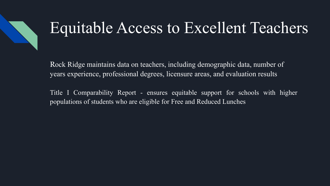### Equitable Access to Excellent Teachers

Rock Ridge maintains data on teachers, including demographic data, number of years experience, professional degrees, licensure areas, and evaluation results

Title I Comparability Report - ensures equitable support for schools with higher populations of students who are eligible for Free and Reduced Lunches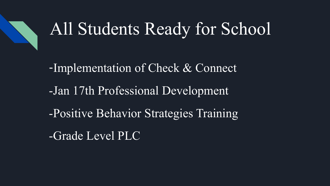

### All Students Ready for School

-Implementation of Check & Connect -Jan 17th Professional Development -Positive Behavior Strategies Training -Grade Level PLC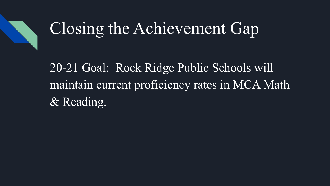### Closing the Achievement Gap

20-21 Goal: Rock Ridge Public Schools will maintain current proficiency rates in MCA Math & Reading.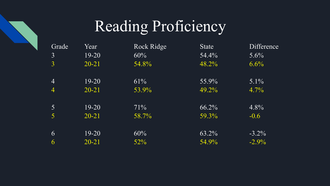### Reading Proficiency

| Grade          | Year      | Rock Ridge | <b>State</b> | Difference |
|----------------|-----------|------------|--------------|------------|
| $\overline{3}$ | $19 - 20$ | 60%        | 54.4%        | $5.6\%$    |
| $\overline{3}$ | $20 - 21$ | 54.8%      | 48.2%        | 6.6%       |
|                |           |            |              |            |
| $\overline{4}$ | $19-20$   | 61%        | 55.9%        | $5.1\%$    |
| $\overline{4}$ | $20 - 21$ | 53.9%      | 49.2%        | 4.7%       |
|                |           |            |              |            |
| 5              | $19-20$   | 71%        | 66.2%        | 4.8%       |
| 5              | $20 - 21$ | 58.7%      | 59.3%        | $-0.6$     |
|                |           |            |              |            |
| 6              | $19 - 20$ | 60%        | 63.2%        | $-3.2\%$   |
| 6              | $20 - 21$ | 52%        | 54.9%        | $-2.9\%$   |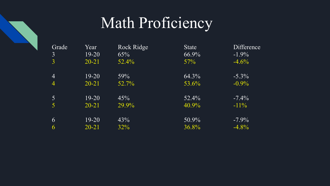### Math Proficiency

| Grade<br>3      | Year<br>$19-20$ | Rock Ridge<br>65% | <b>State</b><br>66.9% | <b>Difference</b><br>$-1.9\%$ |
|-----------------|-----------------|-------------------|-----------------------|-------------------------------|
| 3               | $20 - 21$       | $52.4\%$          | 57%                   | $-4.6%$                       |
| $\overline{4}$  | $19-20$         | 59%               | 64.3%                 | $-5.3\%$                      |
| $\overline{4}$  | $20 - 21$       | 52.7%             | 53.6%                 | $-0.9\%$                      |
| $\vert 5 \vert$ | 19-20           | 45%               | 52.4%                 | $-7.4\%$                      |
| 5               | $20 - 21$       | 29.9%             | 40.9%                 | $-11\%$                       |
| 6               | 19-20           | 43%               | 50.9%                 | $-7.9\%$                      |
| 6               | $20 - 21$       | 32%               | 36.8%                 | $-4.8%$                       |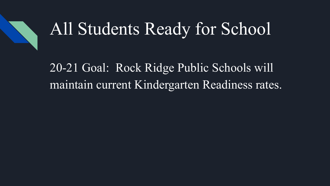

### All Students Ready for School

20-21 Goal: Rock Ridge Public Schools will maintain current Kindergarten Readiness rates.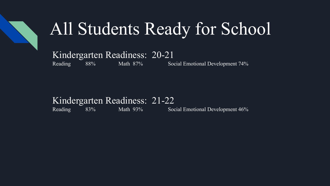

### All Students Ready for School

### Kindergarten Readiness: 20-21

Reading 88% Math 87% Social Emotional Development 74%

#### Kindergarten Readiness: 21-22

Reading 83% Math 93% Social Emotional Development 46%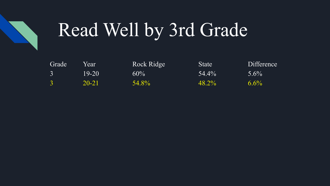

# Read Well by 3rd Grade

| Grade         | Year  | Rock Ridge | <b>State</b> | Difference |
|---------------|-------|------------|--------------|------------|
|               | 19-20 | $60\%$     | $54.4\%$     | $5.6\%$    |
| $\mathcal{R}$ | 20-21 | 54.8%      | 48.2%        | $6.6\%$    |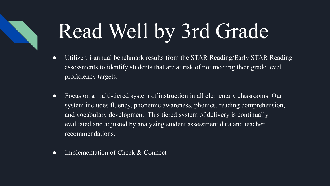# Read Well by 3rd Grade

- Utilize tri-annual benchmark results from the STAR Reading/Early STAR Reading assessments to identify students that are at risk of not meeting their grade level proficiency targets.
- Focus on a multi-tiered system of instruction in all elementary classrooms. Our system includes fluency, phonemic awareness, phonics, reading comprehension, and vocabulary development. This tiered system of delivery is continually evaluated and adjusted by analyzing student assessment data and teacher recommendations.
- Implementation of Check & Connect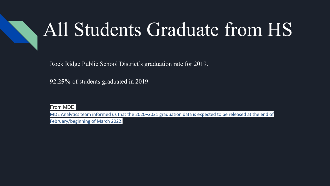## All Students Graduate from HS

Rock Ridge Public School District's graduation rate for 2019.

**92.25%** of students graduated in 2019.

From MDE.

MDE Analytics team informed us that the 2020–2021 graduation data is expected to be released at the end of February/beginning of March 2022.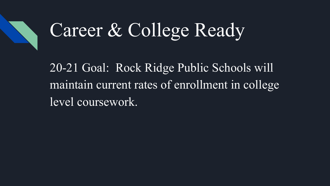# Career & College Ready

20-21 Goal: Rock Ridge Public Schools will maintain current rates of enrollment in college level coursework.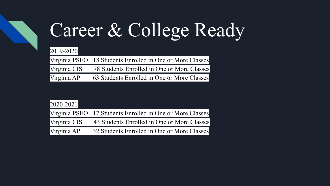# Career & College Ready

#### 2019-2020

|              | Virginia PSEO 18 Students Enrolled in One or More Classes |
|--------------|-----------------------------------------------------------|
| Virginia CIS | 78 Students Enrolled in One or More Classes               |
| Virginia AP  | 63 Students Enrolled in One or More Classes               |

| $2020 - 2021$ |                                                           |
|---------------|-----------------------------------------------------------|
|               | Virginia PSEO 17 Students Enrolled in One or More Classes |
| Virginia CIS  | 43 Students Enrolled in One or More Classes               |
| Virginia AP   | 32 Students Enrolled in One or More Classes               |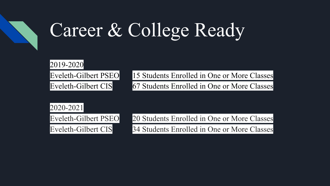# Career & College Ready

#### 2019-2020

Eveleth-Gilbert PSEO 15 Students Enrolled in One or More Classes Eveleth-Gilbert CIS 67 Students Enrolled in One or More Classes

#### 2020-2021

Eveleth-Gilbert PSEO 20 Students Enrolled in One or More Classes Eveleth-Gilbert CIS 34 Students Enrolled in One or More Classes